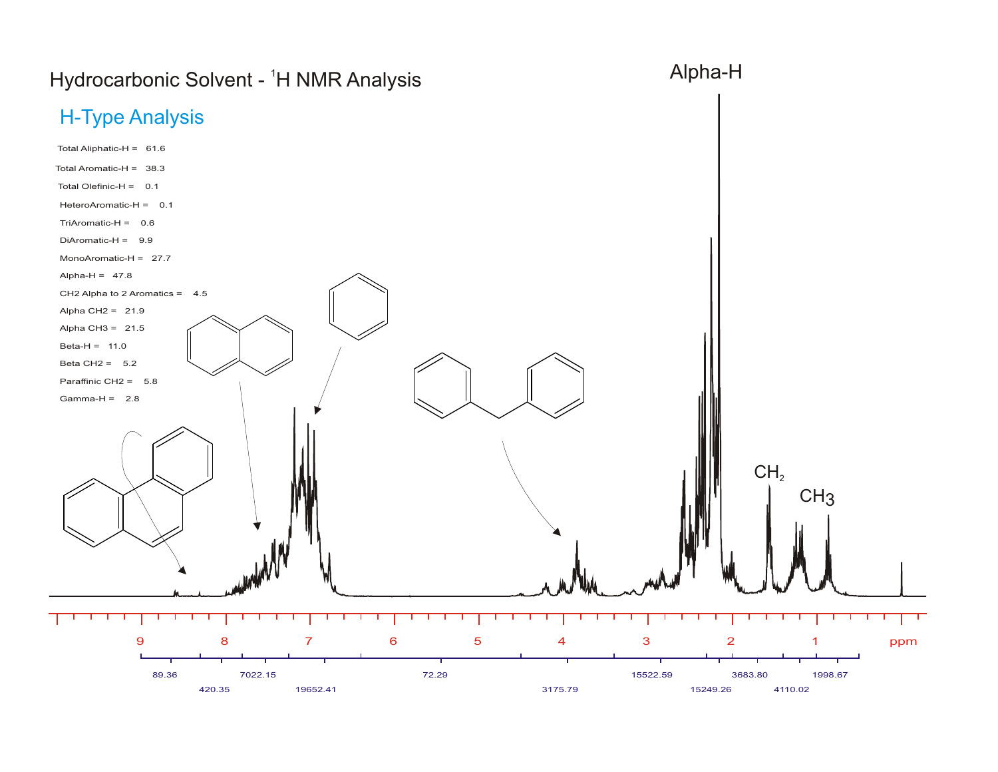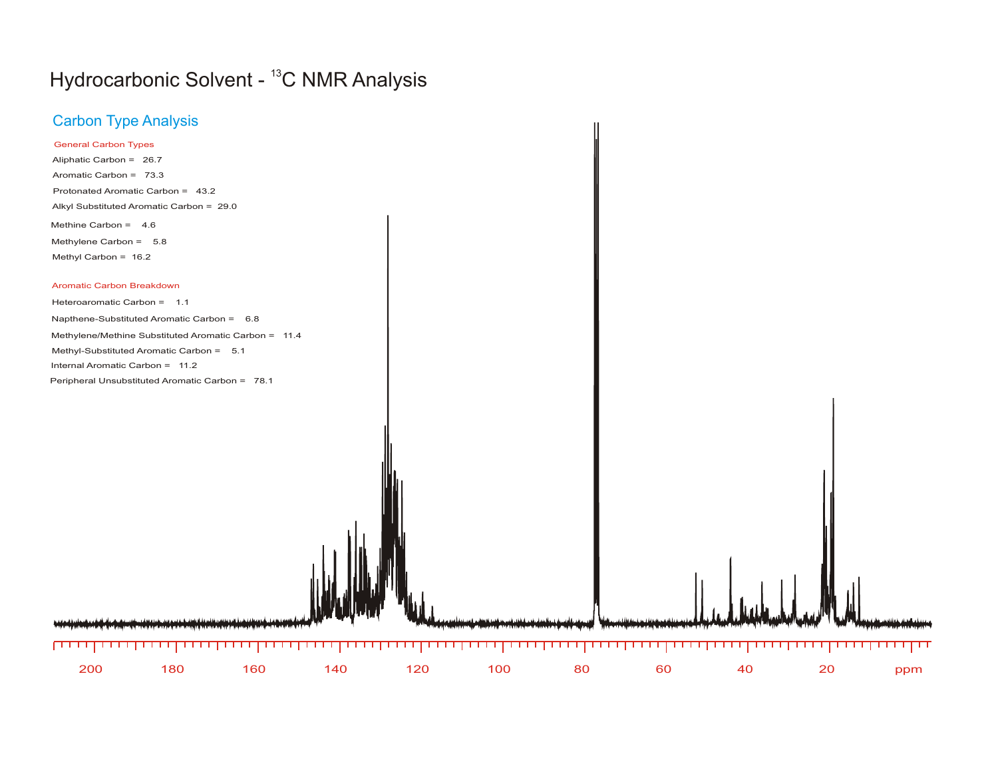## Hydrocarbonic Solvent - <sup>13</sup>C NMR Analysis

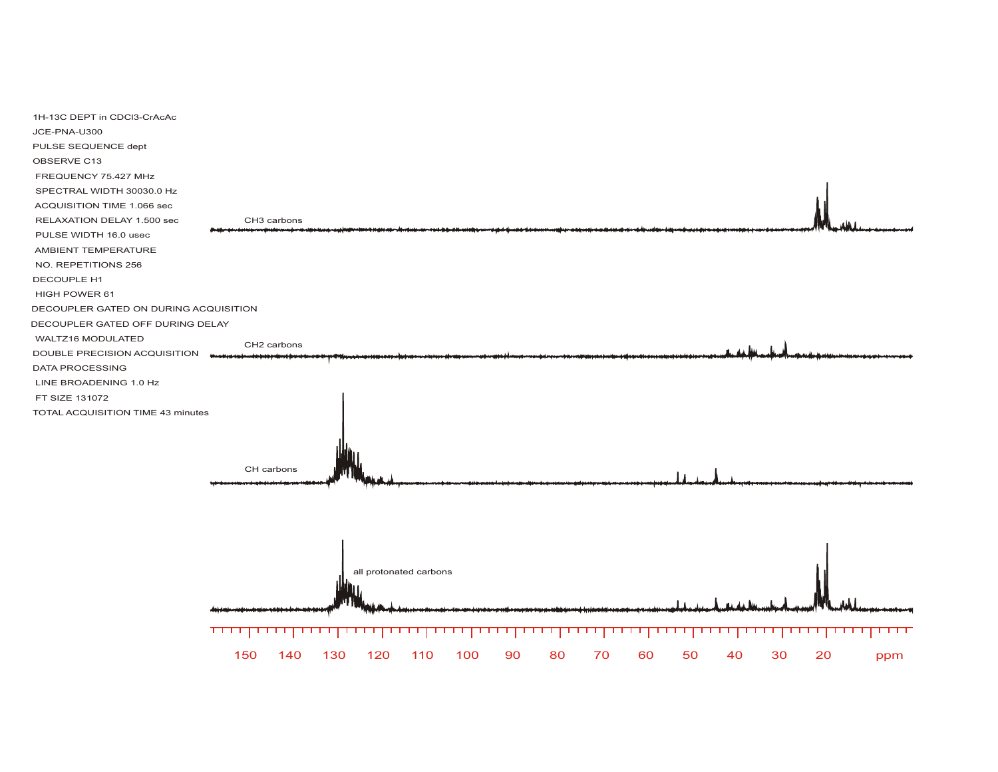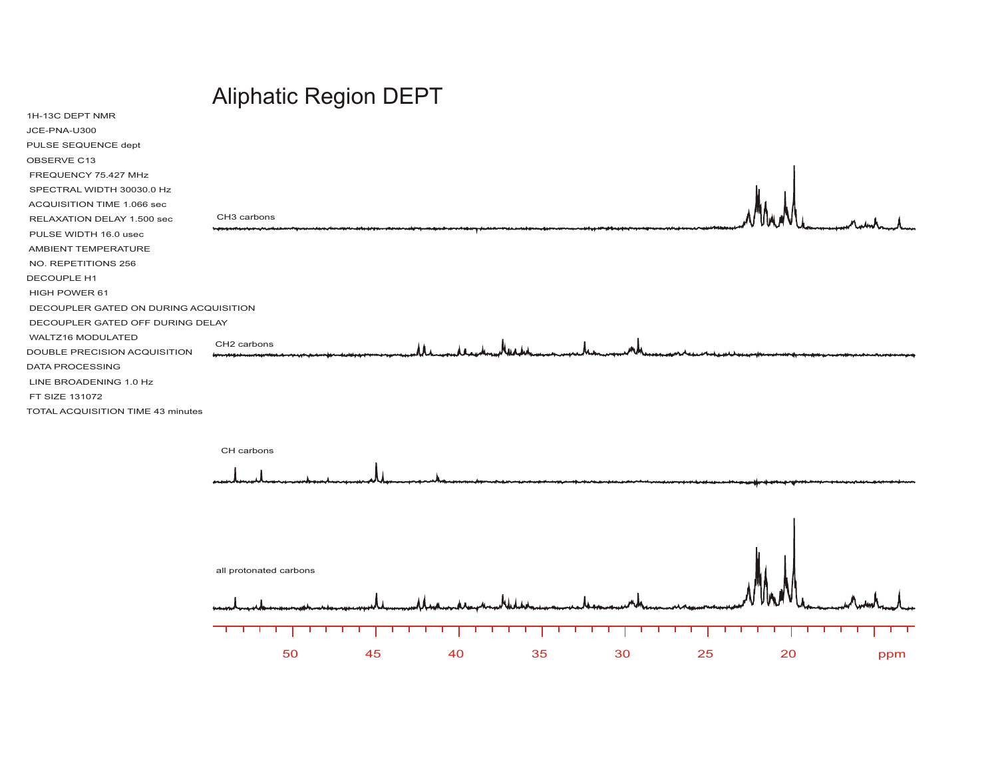## Aliphatic Region DEPT

| 1H-13C DEPT NMR                       |                                                                 |  |
|---------------------------------------|-----------------------------------------------------------------|--|
| JCE-PNA-U300                          |                                                                 |  |
| PULSE SEQUENCE dept                   |                                                                 |  |
| OBSERVE C13                           |                                                                 |  |
| FREQUENCY 75.427 MHz                  |                                                                 |  |
| SPECTRAL WIDTH 30030.0 Hz             |                                                                 |  |
| ACQUISITION TIME 1.066 sec            |                                                                 |  |
| RELAXATION DELAY 1.500 sec            | CH3 carbons                                                     |  |
| PULSE WIDTH 16.0 usec                 |                                                                 |  |
| AMBIENT TEMPERATURE                   |                                                                 |  |
| NO. REPETITIONS 256                   |                                                                 |  |
| DECOUPLE H1                           |                                                                 |  |
| HIGH POWER 61                         |                                                                 |  |
| DECOUPLER GATED ON DURING ACQUISITION |                                                                 |  |
| DECOUPLER GATED OFF DURING DELAY      |                                                                 |  |
| WALTZ16 MODULATED                     | CH2 carbons                                                     |  |
| DOUBLE PRECISION ACQUISITION          |                                                                 |  |
| DATA PROCESSING                       |                                                                 |  |
| LINE BROADENING 1.0 Hz                |                                                                 |  |
| FT SIZE 131072                        |                                                                 |  |
| TOTAL ACQUISITION TIME 43 minutes     |                                                                 |  |
|                                       |                                                                 |  |
|                                       | CH carbons                                                      |  |
|                                       |                                                                 |  |
|                                       |                                                                 |  |
|                                       |                                                                 |  |
|                                       |                                                                 |  |
|                                       |                                                                 |  |
|                                       |                                                                 |  |
|                                       | $\mathbf{u}$ and $\mathbf{u}$ and $\mathbf{u}$ and $\mathbf{u}$ |  |